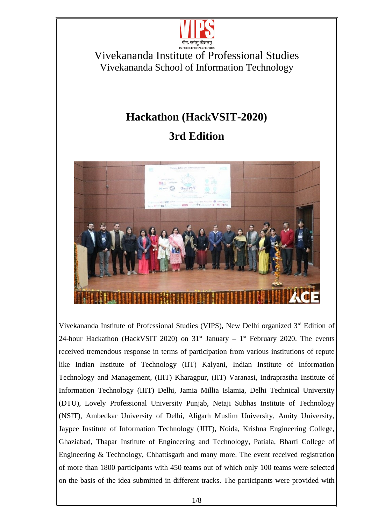

# **Hackathon (HackVSIT-2020)**

# **3rd Edition**



Vivekananda Institute of Professional Studies (VIPS), New Delhi organized 3<sup>rd</sup> Edition of 24-hour Hackathon (HackVSIT 2020) on  $31<sup>st</sup>$  January –  $1<sup>st</sup>$  February 2020. The events received tremendous response in terms of participation from various institutions of repute like Indian Institute of Technology (IIT) Kalyani, Indian Institute of Information Technology and Management, (IIIT) Kharagpur, (IIT) Varanasi, Indraprastha Institute of Information Technology (IIIT) Delhi, Jamia Millia Islamia, Delhi Technical University (DTU), Lovely Professional University Punjab, Netaji Subhas Institute of Technology (NSIT), Ambedkar University of Delhi, Aligarh Muslim University, Amity University, Jaypee Institute of Information Technology (JIIT), Noida, Krishna Engineering College, Ghaziabad, Thapar Institute of Engineering and Technology, Patiala, Bharti College of Engineering & Technology, Chhattisgarh and many more. The event received registration of more than 1800 participants with 450 teams out of which only 100 teams were selected on the basis of the idea submitted in different tracks. The participants were provided with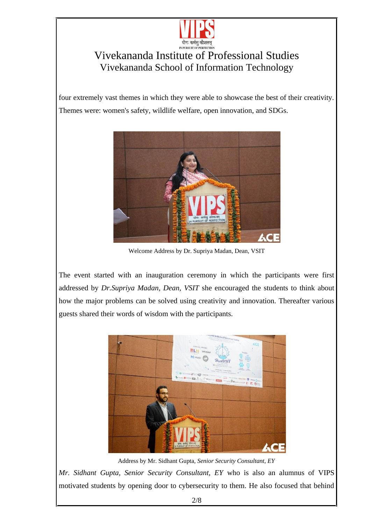

four extremely vast themes in which they were able to showcase the best of their creativity. Themes were: women's safety, wildlife welfare, open innovation, and SDGs.



Welcome Address by Dr. Supriya Madan, Dean, VSIT

The event started with an inauguration ceremony in which the participants were first addressed by *Dr.Supriya Madan, Dean, VSIT* she encouraged the students to think about how the major problems can be solved using creativity and innovation. Thereafter various guests shared their words of wisdom with the participants.



Address by Mr. Sidhant Gupta, *Senior Security Consultant, EY*

*Mr. Sidhant Gupta, Senior Security Consultant, EY* who is also an alumnus of VIPS motivated students by opening door to cybersecurity to them. He also focused that behind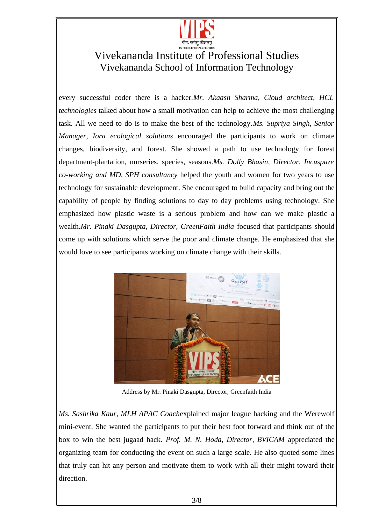

every successful coder there is a hacker.*Mr. Akaash Sharma, Cloud architect, HCL technologies* talked about how a small motivation can help to achieve the most challenging task. All we need to do is to make the best of the technology.*Ms. Supriya Singh, Senior Manager, Iora ecological solutions* encouraged the participants to work on climate changes, biodiversity, and forest. She showed a path to use technology for forest department-plantation, nurseries, species, seasons.*Ms. Dolly Bhasin, Director, Incuspaze co-working and MD, SPH consultancy* helped the youth and women for two years to use technology for sustainable development. She encouraged to build capacity and bring out the capability of people by finding solutions to day to day problems using technology. She emphasized how plastic waste is a serious problem and how can we make plastic a wealth.*Mr. Pinaki Dasgupta, Director, GreenFaith India* focused that participants should come up with solutions which serve the poor and climate change. He emphasized that she would love to see participants working on climate change with their skills.



Address by Mr. Pinaki Dasgupta, Director, Greenfaith India

*Ms. Sashrika Kaur, MLH APAC Coach*explained major league hacking and the Werewolf mini-event. She wanted the participants to put their best foot forward and think out of the box to win the best jugaad hack. *Prof. M. N. Hoda, Director, BVICAM* appreciated the organizing team for conducting the event on such a large scale. He also quoted some lines that truly can hit any person and motivate them to work with all their might toward their direction.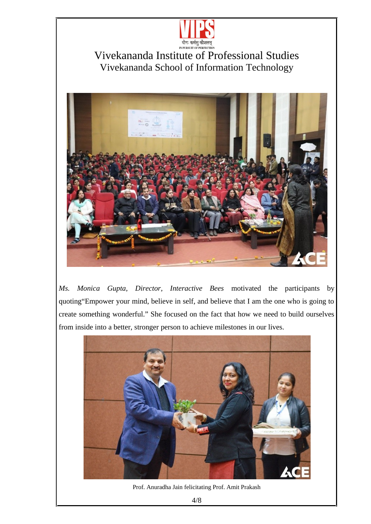



*Ms. Monica Gupta, Director, Interactive Bees* motivated the participants by quoting"Empower your mind, believe in self, and believe that I am the one who is going to create something wonderful." She focused on the fact that how we need to build ourselves from inside into a better, stronger person to achieve milestones in our lives.



Prof. Anuradha Jain felicitating Prof. Amit Prakash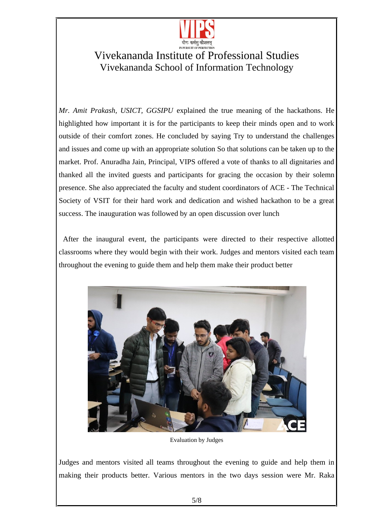

*Mr. Amit Prakash, USICT, GGSIPU* explained the true meaning of the hackathons. He highlighted how important it is for the participants to keep their minds open and to work outside of their comfort zones. He concluded by saying Try to understand the challenges and issues and come up with an appropriate solution So that solutions can be taken up to the market. Prof. Anuradha Jain, Principal, VIPS offered a vote of thanks to all dignitaries and thanked all the invited guests and participants for gracing the occasion by their solemn presence. She also appreciated the faculty and student coordinators of ACE - The Technical Society of VSIT for their hard work and dedication and wished hackathon to be a great success. The inauguration was followed by an open discussion over lunch

 After the inaugural event, the participants were directed to their respective allotted classrooms where they would begin with their work. Judges and mentors visited each team throughout the evening to guide them and help them make their product better



Evaluation by Judges

Judges and mentors visited all teams throughout the evening to guide and help them in making their products better. Various mentors in the two days session were Mr. Raka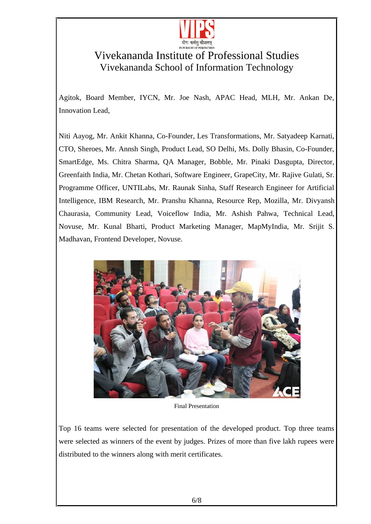

Agitok, Board Member, IYCN, Mr. Joe Nash, APAC Head, MLH, Mr. Ankan De, Innovation Lead,

Niti Aayog, Mr. Ankit Khanna, Co-Founder, Les Transformations, Mr. Satyadeep Karnati, CTO, Sheroes, Mr. Annsh Singh, Product Lead, SO Delhi, Ms. Dolly Bhasin, Co-Founder, SmartEdge, Ms. Chitra Sharma, QA Manager, Bobble, Mr. Pinaki Dasgupta, Director, Greenfaith India, Mr. Chetan Kothari, Software Engineer, GrapeCity, Mr. Rajive Gulati, Sr. Programme Officer, UNTILabs, Mr. Raunak Sinha, Staff Research Engineer for Artificial Intelligence, IBM Research, Mr. Pranshu Khanna, Resource Rep, Mozilla, Mr. Divyansh Chaurasia, Community Lead, Voiceflow India, Mr. Ashish Pahwa, Technical Lead, Novuse, Mr. Kunal Bharti, Product Marketing Manager, MapMyIndia, Mr. Srijit S. Madhavan, Frontend Developer, Novuse.



Final Presentation

Top 16 teams were selected for presentation of the developed product. Top three teams were selected as winners of the event by judges. Prizes of more than five lakh rupees were distributed to the winners along with merit certificates.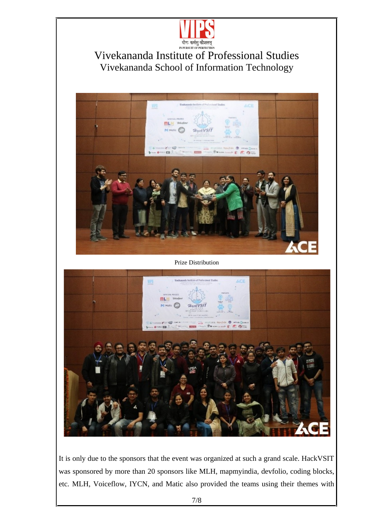



Prize Distribution



It is only due to the sponsors that the event was organized at such a grand scale. HackVSIT was sponsored by more than 20 sponsors like MLH, mapmyindia, devfolio, coding blocks, etc. MLH, Voiceflow, IYCN, and Matic also provided the teams using their themes with